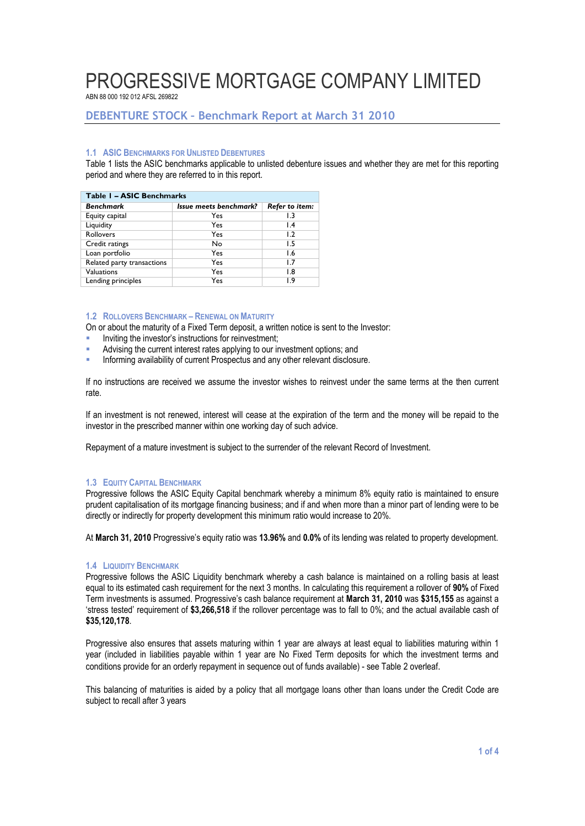ABN 88 000 192 012 AFSL 269822

# **DEBENTURE STOCK – Benchmark Report at March 31 2010**

#### **1.1 ASIC BENCHMARKS FOR UNLISTED DEBENTURES**

Table 1 lists the ASIC benchmarks applicable to unlisted debenture issues and whether they are met for this reporting period and where they are referred to in this report.

| Table 1 - ASIC Benchmarks  |                        |                 |  |  |  |  |  |
|----------------------------|------------------------|-----------------|--|--|--|--|--|
| <b>Benchmark</b>           | Issue meets benchmark? | Refer to item:  |  |  |  |  |  |
| Equity capital             | Yes                    | 1.3             |  |  |  |  |  |
| Liquidity                  | Yes                    | $\mathsf{I}$ .4 |  |  |  |  |  |
| Rollovers                  | Yes                    | 1.2             |  |  |  |  |  |
| Credit ratings             | No                     | 1.5             |  |  |  |  |  |
| Loan portfolio             | Yes                    | 1.6             |  |  |  |  |  |
| Related party transactions | Yes                    | 1.7             |  |  |  |  |  |
| Valuations                 | Yes                    | 1.8             |  |  |  |  |  |
| Lending principles         | Yes                    | 1.9             |  |  |  |  |  |

#### **1.2 ROLLOVERS BENCHMARK – RENEWAL ON MATURITY**

On or about the maturity of a Fixed Term deposit, a written notice is sent to the Investor:

- Inviting the investor's instructions for reinvestment;
- Advising the current interest rates applying to our investment options; and
- **Informing availability of current Prospectus and any other relevant disclosure.**

If no instructions are received we assume the investor wishes to reinvest under the same terms at the then current rate.

If an investment is not renewed, interest will cease at the expiration of the term and the money will be repaid to the investor in the prescribed manner within one working day of such advice.

Repayment of a mature investment is subject to the surrender of the relevant Record of Investment.

#### **1.3 EQUITY CAPITAL BENCHMARK**

Progressive follows the ASIC Equity Capital benchmark whereby a minimum 8% equity ratio is maintained to ensure prudent capitalisation of its mortgage financing business; and if and when more than a minor part of lending were to be directly or indirectly for property development this minimum ratio would increase to 20%.

At **March 31, 2010** Progressive's equity ratio was **13.96%** and **0.0%** of its lending was related to property development.

#### **1.4 LIQUIDITY BENCHMARK**

Progressive follows the ASIC Liquidity benchmark whereby a cash balance is maintained on a rolling basis at least equal to its estimated cash requirement for the next 3 months. In calculating this requirement a rollover of **90%** of Fixed Term investments is assumed. Progressive's cash balance requirement at **March 31, 2010** was **\$315,155** as against a 'stress tested' requirement of **\$3,266,518** if the rollover percentage was to fall to 0%; and the actual available cash of **\$35,120,178**.

Progressive also ensures that assets maturing within 1 year are always at least equal to liabilities maturing within 1 year (included in liabilities payable within 1 year are No Fixed Term deposits for which the investment terms and conditions provide for an orderly repayment in sequence out of funds available) - see Table 2 overleaf.

This balancing of maturities is aided by a policy that all mortgage loans other than loans under the Credit Code are subject to recall after 3 years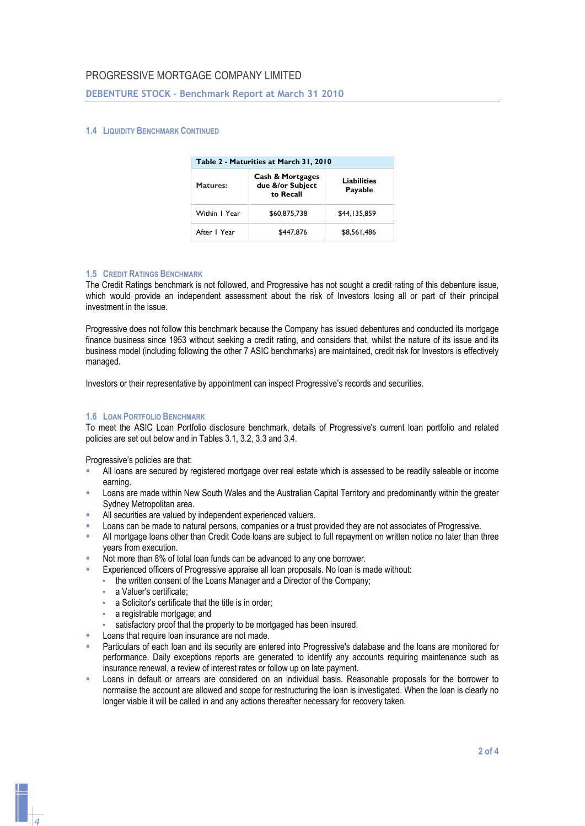#### **DEBENTURE STOCK – Benchmark Report at March 31 2010**

#### **1.4 LIQUIDITY BENCHMARK CONTINUED**

| Table 2 - Maturities at March 31, 2010 |                                                              |                               |  |  |  |  |
|----------------------------------------|--------------------------------------------------------------|-------------------------------|--|--|--|--|
| <b>Matures:</b>                        | <b>Cash &amp; Mortgages</b><br>due &/or Subject<br>to Recall | <b>Liabilities</b><br>Payable |  |  |  |  |
| Within I Year                          | \$60,875,738                                                 | \$44,135,859                  |  |  |  |  |
| After I Year                           | \$447,876                                                    | \$8,561,486                   |  |  |  |  |

#### **1.5 CREDIT RATINGS BENCHMARK**

The Credit Ratings benchmark is not followed, and Progressive has not sought a credit rating of this debenture issue, which would provide an independent assessment about the risk of Investors losing all or part of their principal investment in the issue.

Progressive does not follow this benchmark because the Company has issued debentures and conducted its mortgage finance business since 1953 without seeking a credit rating, and considers that, whilst the nature of its issue and its business model (including following the other 7 ASIC benchmarks) are maintained, credit risk for Investors is effectively managed.

Investors or their representative by appointment can inspect Progressive's records and securities.

#### **1.6 LOAN PORTFOLIO BENCHMARK**

To meet the ASIC Loan Portfolio disclosure benchmark, details of Progressive's current loan portfolio and related policies are set out below and in Tables 3.1, 3.2, 3.3 and 3.4.

Progressive's policies are that:

- All loans are secured by registered mortgage over real estate which is assessed to be readily saleable or income earning.
- Loans are made within New South Wales and the Australian Capital Territory and predominantly within the greater Sydney Metropolitan area.
- All securities are valued by independent experienced valuers.
- Loans can be made to natural persons, companies or a trust provided they are not associates of Progressive.
- All mortgage loans other than Credit Code loans are subject to full repayment on written notice no later than three years from execution.
- Not more than 8% of total loan funds can be advanced to any one borrower.
- Experienced officers of Progressive appraise all loan proposals. No loan is made without:
- the written consent of the Loans Manager and a Director of the Company;
	- a Valuer's certificate;
	- a Solicitor's certificate that the title is in order;
	- a registrable mortgage; and
	- satisfactory proof that the property to be mortgaged has been insured.
- Loans that require loan insurance are not made.
- Particulars of each loan and its security are entered into Progressive's database and the loans are monitored for performance. Daily exceptions reports are generated to identify any accounts requiring maintenance such as insurance renewal, a review of interest rates or follow up on late payment.
- Loans in default or arrears are considered on an individual basis. Reasonable proposals for the borrower to normalise the account are allowed and scope for restructuring the loan is investigated. When the loan is clearly no longer viable it will be called in and any actions thereafter necessary for recovery taken.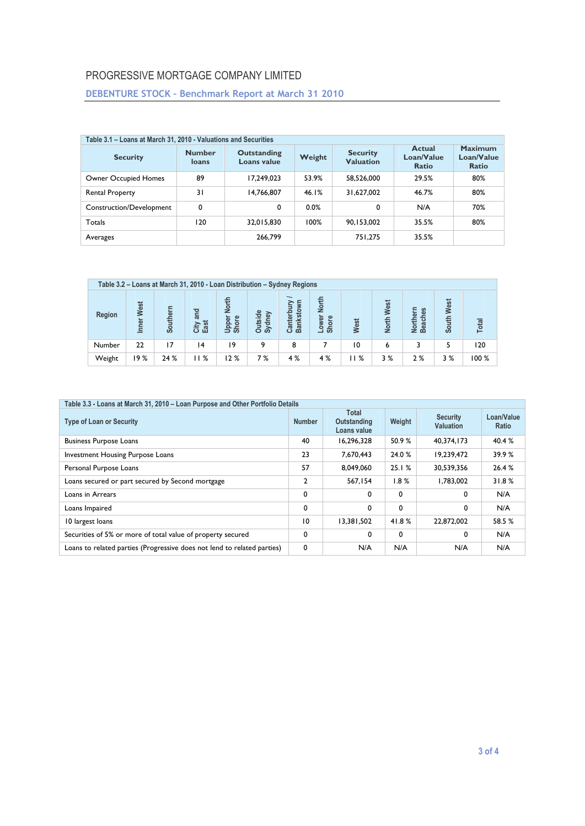# **DEBENTURE STOCK – Benchmark Report at March 31 2010**

| Table 3.1 - Loans at March 31, 2010 - Valuations and Securities |                        |                                   |        |                                     |                                      |                                              |  |  |  |
|-----------------------------------------------------------------|------------------------|-----------------------------------|--------|-------------------------------------|--------------------------------------|----------------------------------------------|--|--|--|
| <b>Security</b>                                                 | <b>Number</b><br>loans | <b>Outstanding</b><br>Loans value | Weight | <b>Security</b><br><b>Valuation</b> | Actual<br>Loan/Value<br><b>Ratio</b> | <b>Maximum</b><br>Loan/Value<br><b>Ratio</b> |  |  |  |
| Owner Occupied Homes                                            | 89                     | 17.249.023                        | 53.9%  | 58.526.000                          | 29.5%                                | 80%                                          |  |  |  |
| Rental Property                                                 | $\overline{3}1$        | 14,766,807                        | 46.1%  | 31,627,002                          | 46.7%                                | 80%                                          |  |  |  |
| Construction/Development                                        | 0                      | 0                                 | 0.0%   | 0                                   | N/A                                  | 70%                                          |  |  |  |
| Totals                                                          | 120                    | 32.015.830                        | 100%   | 90,153,002                          | 35.5%                                | 80%                                          |  |  |  |
| Averages                                                        |                        | 266,799                           |        | 751.275                             | 35.5%                                |                                              |  |  |  |

| Table 3.2 – Loans at March 31, 2010 - Loan Distribution – Sydney Regions |               |          |                      |                                |                          |                                                                   |                                       |      |                             |                     |               |       |
|--------------------------------------------------------------------------|---------------|----------|----------------------|--------------------------------|--------------------------|-------------------------------------------------------------------|---------------------------------------|------|-----------------------------|---------------------|---------------|-------|
| Region                                                                   | West<br>Inner | Southern | Tang<br>City<br>East | <b>North</b><br>Upper<br>Shore | tside<br>dney<br>ā<br>කි | $\overline{\phantom{0}}$<br>nkstown<br>nterbur<br><b>Ba</b><br>යි | <b>North</b><br>Lower<br><b>Shore</b> | West | <b>West</b><br><b>North</b> | Northern<br>Beaches | West<br>South | Total |
| Number                                                                   | 22            | 17       | 14                   | 19                             | ۹                        | 8                                                                 |                                       | 10   | 6                           |                     | 5             | 120   |
| Weight                                                                   | 9%            | 24 %     | 1%                   | 12%                            | 7%                       | 4%                                                                | 4%                                    | 11%  | 3%                          | 2%                  | 3%            | 100%  |

| Table 3.3 - Loans at March 31, 2010 - Loan Purpose and Other Portfolio Details |                                                             |             |        |                                     |                     |  |  |  |
|--------------------------------------------------------------------------------|-------------------------------------------------------------|-------------|--------|-------------------------------------|---------------------|--|--|--|
| <b>Type of Loan or Security</b>                                                | <b>Total</b><br><b>Number</b><br>Outstanding<br>Loans value |             | Weight | <b>Security</b><br><b>Valuation</b> | Loan/Value<br>Ratio |  |  |  |
| <b>Business Purpose Loans</b>                                                  | 40                                                          | 16,296,328  | 50.9%  | 40.374.173                          | 40.4 %              |  |  |  |
| Investment Housing Purpose Loans                                               | 23                                                          | 7,670,443   | 24.0 % | 19,239,472                          | 39.9%               |  |  |  |
| Personal Purpose Loans                                                         | 57                                                          | 8.049.060   | 25.1%  | 30.539.356                          | 26.4%               |  |  |  |
| Loans secured or part secured by Second mortgage                               | $\mathbf{2}$                                                | 567,154     | 1.8%   | 1.783.002                           | 31.8%               |  |  |  |
| Loans in Arrears                                                               | 0                                                           | $\mathbf 0$ | 0      | 0                                   | N/A                 |  |  |  |
| Loans Impaired                                                                 | 0                                                           | $\mathbf 0$ | 0      | 0                                   | N/A                 |  |  |  |
| 10 largest loans                                                               | 10                                                          | 13.381.502  | 41.8%  | 22.872.002                          | 58.5 %              |  |  |  |
| Securities of 5% or more of total value of property secured                    | 0                                                           | 0           | 0      | 0                                   | N/A                 |  |  |  |
| Loans to related parties (Progressive does not lend to related parties)        | 0                                                           | N/A         | N/A    | N/A                                 | N/A                 |  |  |  |